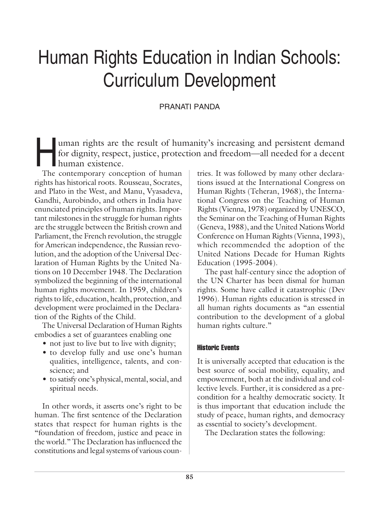# Human Rights Education in Indian Schools: Curriculum Development

# PRANATI PANDA

Iman rights are the result of humanity's increasing and persistent demand<br>for dignity, respect, justice, protection and freedom—all needed for a decent<br>human existence. for dignity, respect, justice, protection and freedom—all needed for a decent human existence.

The contemporary conception of human rights has historical roots. Rousseau, Socrates, and Plato in the West, and Manu, Vyasadeva, Gandhi, Aurobindo, and others in India have enunciated principles of human rights. Important milestones in the struggle for human rights are the struggle between the British crown and Parliament, the French revolution, the struggle for American independence, the Russian revolution, and the adoption of the Universal Declaration of Human Rights by the United Nations on 10 December 1948. The Declaration symbolized the beginning of the international human rights movement. In 1959, children's rights to life, education, health, protection, and development were proclaimed in the Declaration of the Rights of the Child.

The Universal Declaration of Human Rights embodies a set of guarantees enabling one

- not just to live but to live with dignity;
- to develop fully and use one's human qualities, intelligence, talents, and conscience; and
- to satisfy one's physical, mental, social, and spiritual needs.

In other words, it asserts one's right to be human. The first sentence of the Declaration states that respect for human rights is the "foundation of freedom, justice and peace in the world." The Declaration has influenced the constitutions and legal systems of various countries. It was followed by many other declarations issued at the International Congress on Human Rights (Teheran, 1968), the International Congress on the Teaching of Human Rights (Vienna, 1978) organized by UNESCO, the Seminar on the Teaching of Human Rights (Geneva, 1988), and the United Nations World Conference on Human Rights (Vienna, 1993), which recommended the adoption of the United Nations Decade for Human Rights Education (1995-2004).

The past half-century since the adoption of the UN Charter has been dismal for human rights. Some have called it catastrophic (Dev 1996). Human rights education is stressed in all human rights documents as "an essential contribution to the development of a global human rights culture."

## Historic Events

It is universally accepted that education is the best source of social mobility, equality, and empowerment, both at the individual and collective levels. Further, it is considered as a precondition for a healthy democratic society. It is thus important that education include the study of peace, human rights, and democracy as essential to society's development.

The Declaration states the following: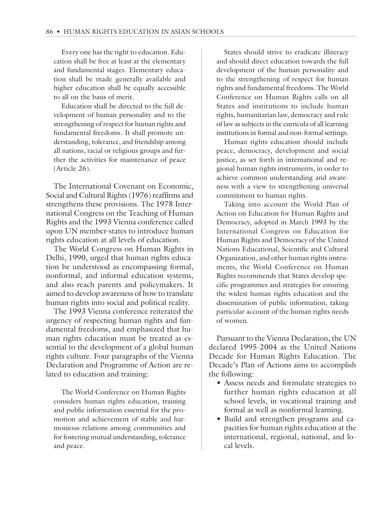Every one has the right to education. Education shall be free at least at the elementary and fundamental stages. Elementary education shall be made generally available and higher education shall be equally accessible to all on the basis of merit.

Education shall be directed to the full development of human personality and to the strengthening of respect for human rights and fundamental freedoms. It shall promote understanding, tolerance, and friendship among all nations, racial or religious groups and further the activities for maintenance of peace (Article 26).

The International Covenant on Economic, Social and Cultural Rights (1976) reaffirms and strengthens these provisions. The 1978 International Congress on the Teaching of Human Rights and the 1993 Vienna conference called upon UN member-states to introduce human rights education at all levels of education.

The World Congress on Human Rights in Delhi, 1990, urged that human rights education be understood as encompassing formal, nonformal, and informal education systems, and also reach parents and policymakers. It aimed to develop awareness of how to translate human rights into social and political reality.

The 1993 Vienna conference reiterated the urgency of respecting human rights and fundamental freedoms, and emphasized that human rights education must be treated as essential to the development of a global human rights culture. Four paragraphs of the Vienna Declaration and Programme of Action are related to education and training:

The World Conference on Human Rights considers human rights education, training and public information essential for the promotion and achievement of stable and harmonious relations among communities and for fostering mutual understanding, tolerance and peace.

States should strive to eradicate illiteracy and should direct education towards the full development of the human personality and to the strengthening of respect for human rights and fundamental freedoms. The World Conference on Human Rights calls on all States and institutions to include human rights, humanitarian law, democracy and rule of law as subjects in the curricula of all learning institutions in formal and non-formal settings.

Human rights education should include peace, democracy, development and social justice, as set forth in international and regional human rights instruments, in order to achieve common understanding and awareness with a view to strengthening universal commitment to human rights.

Taking into account the World Plan of Action on Education for Human Rights and Democracy, adopted in March 1993 by the International Congress on Education for Human Rights and Democracy of the United Nations Educational, Scientific and Cultural Organization, and other human rights instruments, the World Conference on Human Rights recommends that States develop specific programmes and strategies for ensuring the widest human rights education and the dissemination of public information, taking particular account of the human rights needs of women.

Pursuant to the Vienna Declaration, the UN declared 1995-2004 as the United Nations Decade for Human Rights Education. The Decade's Plan of Actions aims to accomplish the following:

- Assess needs and formulate strategies to further human rights education at all school levels, in vocational training and formal as well as nonformal learning.
- Build and strengthen programs and capacities for human rights education at the international, regional, national, and local levels.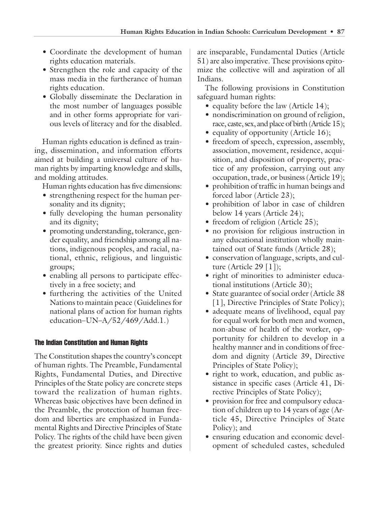- Coordinate the development of human rights education materials.
- Strengthen the role and capacity of the mass media in the furtherance of human rights education.
- Globally disseminate the Declaration in the most number of languages possible and in other forms appropriate for various levels of literacy and for the disabled.

Human rights education is defined as training, dissemination, and information efforts aimed at building a universal culture of human rights by imparting knowledge and skills, and molding attitudes.

Human rights education has five dimensions:

- strengthening respect for the human personality and its dignity;
- fully developing the human personality and its dignity;
- promoting understanding, tolerance, gender equality, and friendship among all nations, indigenous peoples, and racial, national, ethnic, religious, and linguistic groups;
- enabling all persons to participate effectively in a free society; and
- furthering the activities of the United Nations to maintain peace (Guidelines for national plans of action for human rights education–UN–A/52/469/Add.1.)

## The Indian Constitution and Human Rights

The Constitution shapes the country's concept of human rights. The Preamble, Fundamental Rights, Fundamental Duties, and Directive Principles of the State policy are concrete steps toward the realization of human rights. Whereas basic objectives have been defined in the Preamble, the protection of human freedom and liberties are emphasized in Fundamental Rights and Directive Principles of State Policy. The rights of the child have been given the greatest priority. Since rights and duties

are inseparable, Fundamental Duties (Article 51) are also imperative. These provisions epitomize the collective will and aspiration of all Indians.

The following provisions in Constitution safeguard human rights:

- equality before the law (Article 14);
- nondiscrimination on ground of religion, race, caste, sex, and place of birth (Article 15);
- equality of opportunity (Article 16);
- freedom of speech, expression, assembly, association, movement, residence, acquisition, and disposition of property, practice of any profession, carrying out any occupation, trade, or business (Article 19);
- prohibition of traffic in human beings and forced labor (Article 23);
- prohibition of labor in case of children below 14 years (Article 24);
- freedom of religion (Article 25);
- no provision for religious instruction in any educational institution wholly maintained out of State funds (Article 28);
- conservation of language, scripts, and culture (Article 29 [1]);
- right of minorities to administer educational institutions (Article 30);
- State guarantee of social order (Article 38) [1], Directive Principles of State Policy);
- adequate means of livelihood, equal pay for equal work for both men and women, non-abuse of health of the worker, opportunity for children to develop in a healthy manner and in conditions of freedom and dignity (Article 39, Directive Principles of State Policy);
- right to work, education, and public assistance in specific cases (Article 41, Directive Principles of State Policy);
- provision for free and compulsory education of children up to 14 years of age (Article 45, Directive Principles of State Policy); and
- ensuring education and economic development of scheduled castes, scheduled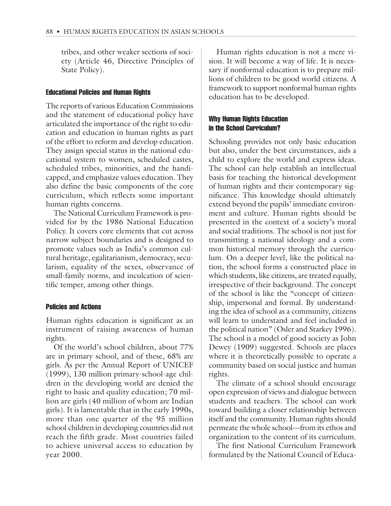tribes, and other weaker sections of society (Article 46, Directive Principles of State Policy).

#### Educational Policies and Human Rights

The reports of various Education Commissions and the statement of educational policy have articulated the importance of the right to education and education in human rights as part of the effort to reform and develop education. They assign special status in the national educational system to women, scheduled castes, scheduled tribes, minorities, and the handicapped, and emphasize values education. They also define the basic components of the core curriculum, which reflects some important human rights concerns.

The National Curriculum Framework is provided for by the 1986 National Education Policy. It covers core elements that cut across narrow subject boundaries and is designed to promote values such as India's common cultural heritage, egalitarianism, democracy, secularism, equality of the sexes, observance of small-family norms, and inculcation of scientific temper, among other things.

#### Policies and Actions

Human rights education is significant as an instrument of raising awareness of human rights.

Of the world's school children, about 77% are in primary school, and of these, 68% are girls. As per the Annual Report of UNICEF (1999), 130 million primary-school-age children in the developing world are denied the right to basic and quality education; 70 million are girls (40 million of whom are Indian girls). It is lamentable that in the early 1990s, more than one quarter of the 95 million school children in developing countries did not reach the fifth grade. Most countries failed to achieve universal access to education by year 2000.

Human rights education is not a mere vision. It will become a way of life. It is necessary if nonformal education is to prepare millions of children to be good world citizens. A framework to support nonformal human rights education has to be developed.

#### Why Human Rights Education in the School Curriculum?

Schooling provides not only basic education but also, under the best circumstances, aids a child to explore the world and express ideas. The school can help establish an intellectual basis for teaching the historical development of human rights and their contemporary significance. This knowledge should ultimately extend beyond the pupils' immediate environment and culture. Human rights should be presented in the context of a society's moral and social traditions. The school is not just for transmitting a national ideology and a common historical memory through the curriculum. On a deeper level, like the political nation, the school forms a constructed place in which students, like citizens, are treated equally, irrespective of their background. The concept of the school is like the "concept of citizenship, impersonal and formal. By understanding the idea of school as a community, citizens will learn to understand and feel included in the political nation" (Osler and Starkey 1996). The school is a model of good society as John Dewey (1909) suggested. Schools are places where it is theoretically possible to operate a community based on social justice and human rights.

The climate of a school should encourage open expression of views and dialogue between students and teachers. The school can work toward building a closer relationship between itself and the community. Human rights should permeate the whole school—from its ethos and organization to the content of its curriculum.

The first National Curriculum Framework formulated by the National Council of Educa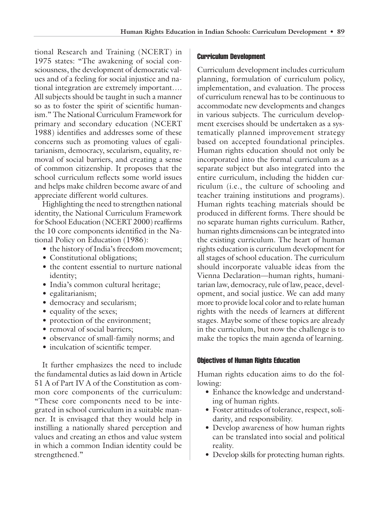tional Research and Training (NCERT) in 1975 states: "The awakening of social consciousness, the development of democratic values and of a feeling for social injustice and national integration are extremely important…. All subjects should be taught in such a manner so as to foster the spirit of scientific humanism." The National Curriculum Framework for primary and secondary education (NCERT 1988) identifies and addresses some of these concerns such as promoting values of egalitarianism, democracy, secularism, equality, removal of social barriers, and creating a sense of common citizenship. It proposes that the school curriculum reflects some world issues and helps make children become aware of and appreciate different world cultures.

Highlighting the need to strengthen national identity, the National Curriculum Framework for School Education (NCERT 2000) reaffirms the 10 core components identified in the National Policy on Education (1986):

- the history of India's freedom movement;
- Constitutional obligations;
- the content essential to nurture national identity;
- India's common cultural heritage;
- egalitarianism;
- democracy and secularism;
- equality of the sexes;
- protection of the environment;
- removal of social barriers;
- observance of small-family norms; and
- inculcation of scientific temper.

It further emphasizes the need to include the fundamental duties as laid down in Article 51 A of Part IV A of the Constitution as common core components of the curriculum: "These core components need to be integrated in school curriculum in a suitable manner. It is envisaged that they would help in instilling a nationally shared perception and values and creating an ethos and value system in which a common Indian identity could be strengthened."

#### Curriculum Development

Curriculum development includes curriculum planning, formulation of curriculum policy, implementation, and evaluation. The process of curriculum renewal has to be continuous to accommodate new developments and changes in various subjects. The curriculum development exercises should be undertaken as a systematically planned improvement strategy based on accepted foundational principles. Human rights education should not only be incorporated into the formal curriculum as a separate subject but also integrated into the entire curriculum, including the hidden curriculum (i.e., the culture of schooling and teacher training institutions and programs). Human rights teaching materials should be produced in different forms. There should be no separate human rights curriculum. Rather, human rights dimensions can be integrated into the existing curriculum. The heart of human rights education is curriculum development for all stages of school education. The curriculum should incorporate valuable ideas from the Vienna Declaration—human rights, humanitarian law, democracy, rule of law, peace, development, and social justice. We can add many more to provide local color and to relate human rights with the needs of learners at different stages. Maybe some of these topics are already in the curriculum, but now the challenge is to make the topics the main agenda of learning.

#### Objectives of Human Rights Education

Human rights education aims to do the following:

- Enhance the knowledge and understanding of human rights.
- Foster attitudes of tolerance, respect, solidarity, and responsibility.
- Develop awareness of how human rights can be translated into social and political reality.
- Develop skills for protecting human rights.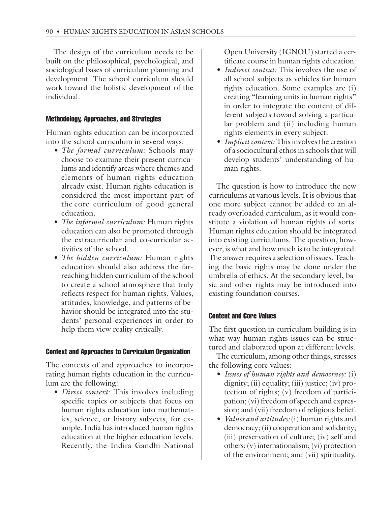The design of the curriculum needs to be built on the philosophical, psychological, and sociological bases of curriculum planning and development. The school curriculum should work toward the holistic development of the individual.

#### Methodology, Approaches, and Strategies

Human rights education can be incorporated into the school curriculum in several ways:

- *The formal curriculum:* Schools may choose to examine their present curriculums and identify areas where themes and elements of human rights education already exist. Human rights education is considered the most important part of the core curriculum of good general education.
- *The informal curriculum:* Human rights education can also be promoted through the extracurricular and co-curricular activities of the school.
- *The hidden curriculum:* Human rights education should also address the farreaching hidden curriculum of the school to create a school atmosphere that truly reflects respect for human rights. Values, attitudes, knowledge, and patterns of behavior should be integrated into the students' personal experiences in order to help them view reality critically.

#### Context and Approaches to Curriculum Organization

The contexts of and approaches to incorporating human rights education in the curriculum are the following:

• *Direct context:* This involves including specific topics or subjects that focus on human rights education into mathematics, science, or history subjects, for example. India has introduced human rights education at the higher education levels. Recently, the Indira Gandhi National

Open University (IGNOU) started a certificate course in human rights education.

- *Indirect context:* This involves the use of all school subjects as vehicles for human rights education. Some examples are (i) creating "learning units in human rights" in order to integrate the content of different subjects toward solving a particular problem and (ii) including human rights elements in every subject.
- *Implicit context:* This involves the creation of a sociocultural ethos in schools that will develop students' understanding of human rights.

The question is how to introduce the new curriculums at various levels. It is obvious that one more subject cannot be added to an already overloaded curriculum, as it would constitute a violation of human rights of sorts. Human rights education should be integrated into existing curriculums. The question, however, is what and how much is to be integrated. The answer requires a selection of issues. Teaching the basic rights may be done under the umbrella of ethics. At the secondary level, basic and other rights may be introduced into existing foundation courses.

## Content and Core Values

The first question in curriculum building is in what way human rights issues can be structured and elaborated upon at different levels.

The curriculum, among other things, stresses the following core values:

- *Issues of human rights and democracy:* (i) dignity; (ii) equality; (iii) justice; (iv) protection of rights; (v) freedom of participation; (vi) freedom of speech and expression; and (vii) freedom of religious belief.
- *Values and attitudes:* (i) human rights and democracy; (ii) cooperation and solidarity; (iii) preservation of culture; (iv) self and others; (v) internationalism; (vi) protection of the environment; and (vii) spirituality.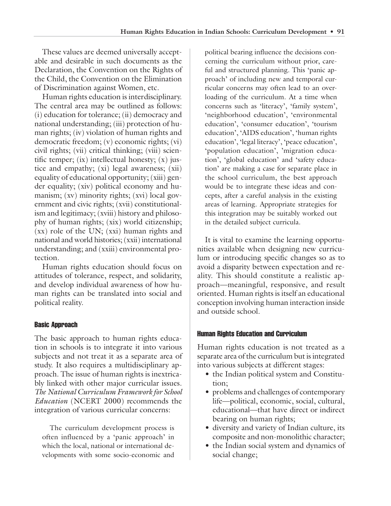These values are deemed universally acceptable and desirable in such documents as the Declaration, the Convention on the Rights of the Child, the Convention on the Elimination of Discrimination against Women, etc.

Human rights education is interdisciplinary. The central area may be outlined as follows: (i) education for tolerance; (ii) democracy and national understanding; (iii) protection of human rights; (iv) violation of human rights and democratic freedom; (v) economic rights; (vi) civil rights; (vii) critical thinking; (viii) scientific temper;  $(ix)$  intellectual honesty;  $(x)$  justice and empathy; (xi) legal awareness; (xii) equality of educational opportunity; (xiii) gender equality; (xiv) political economy and humanism; (xv) minority rights; (xvi) local government and civic rights; (xvii) constitutionalism and legitimacy; (xviii) history and philosophy of human rights; (xix) world citizenship; (xx) role of the UN; (xxi) human rights and national and world histories; (xxii) international understanding; and (xxiii) environmental protection.

Human rights education should focus on attitudes of tolerance, respect, and solidarity, and develop individual awareness of how human rights can be translated into social and political reality.

#### Basic Approach

The basic approach to human rights education in schools is to integrate it into various subjects and not treat it as a separate area of study. It also requires a multidisciplinary approach. The issue of human rights is inextricably linked with other major curricular issues. *The National Curriculum Framework for School Education* (NCERT 2000) recommends the integration of various curricular concerns:

The curriculum development process is often influenced by a 'panic approach' in which the local, national or international developments with some socio-economic and

political bearing influence the decisions concerning the curriculum without prior, careful and structured planning. This 'panic approach' of including new and temporal curricular concerns may often lead to an overloading of the curriculum. At a time when concerns such as 'literacy', 'family system', 'neighborhood education', 'environmental education', 'consumer education', 'tourism education', 'AIDS education', 'human rights education', 'legal literacy', 'peace education', 'population education', 'migration education', 'global education' and 'safety education' are making a case for separate place in the school curriculum, the best approach would be to integrate these ideas and concepts, after a careful analysis in the existing areas of learning. Appropriate strategies for this integration may be suitably worked out in the detailed subject curricula.

It is vital to examine the learning opportunities available when designing new curriculum or introducing specific changes so as to avoid a disparity between expectation and reality. This should constitute a realistic approach—meaningful, responsive, and result oriented. Human rights is itself an educational conception involving human interaction inside and outside school.

#### Human Rights Education and Curriculum

Human rights education is not treated as a separate area of the curriculum but is integrated into various subjects at different stages:

- the Indian political system and Constitution;
- problems and challenges of contemporary life—political, economic, social, cultural, educational—that have direct or indirect bearing on human rights;
- diversity and variety of Indian culture, its composite and non-monolithic character;
- the Indian social system and dynamics of social change;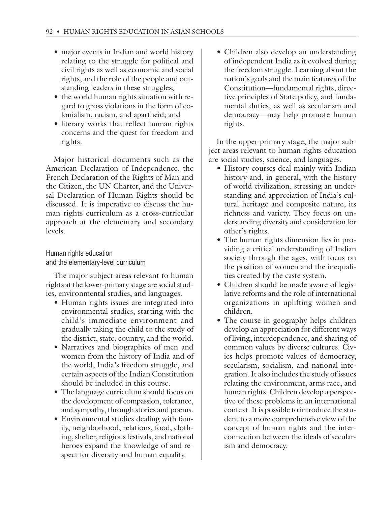- major events in Indian and world history relating to the struggle for political and civil rights as well as economic and social rights, and the role of the people and outstanding leaders in these struggles;
- the world human rights situation with regard to gross violations in the form of colonialism, racism, and apartheid; and
- literary works that reflect human rights concerns and the quest for freedom and rights.

Major historical documents such as the American Declaration of Independence, the French Declaration of the Rights of Man and the Citizen, the UN Charter, and the Universal Declaration of Human Rights should be discussed. It is imperative to discuss the human rights curriculum as a cross-curricular approach at the elementary and secondary levels.

## Human rights education and the elementary-level curriculum

The major subject areas relevant to human rights at the lower-primary stage are social studies, environmental studies, and languages.

- Human rights issues are integrated into environmental studies, starting with the child's immediate environment and gradually taking the child to the study of the district, state, country, and the world.
- Narratives and biographies of men and women from the history of India and of the world, India's freedom struggle, and certain aspects of the Indian Constitution should be included in this course.
- The language curriculum should focus on the development of compassion, tolerance, and sympathy, through stories and poems.
- Environmental studies dealing with family, neighborhood, relations, food, clothing, shelter, religious festivals, and national heroes expand the knowledge of and respect for diversity and human equality.

• Children also develop an understanding of independent India as it evolved during the freedom struggle. Learning about the nation's goals and the main features of the Constitution—fundamental rights, directive principles of State policy, and fundamental duties, as well as secularism and democracy—may help promote human rights.

In the upper-primary stage, the major subject areas relevant to human rights education are social studies, science, and languages.

- History courses deal mainly with Indian history and, in general, with the history of world civilization, stressing an understanding and appreciation of India's cultural heritage and composite nature, its richness and variety. They focus on understanding diversity and consideration for other's rights.
- The human rights dimension lies in providing a critical understanding of Indian society through the ages, with focus on the position of women and the inequalities created by the caste system.
- Children should be made aware of legislative reforms and the role of international organizations in uplifting women and children.
- The course in geography helps children develop an appreciation for different ways of living, interdependence, and sharing of common values by diverse cultures. Civics helps promote values of democracy, secularism, socialism, and national integration. It also includes the study of issues relating the environment, arms race, and human rights. Children develop a perspective of these problems in an international context. It is possible to introduce the student to a more comprehensive view of the concept of human rights and the interconnection between the ideals of secularism and democracy.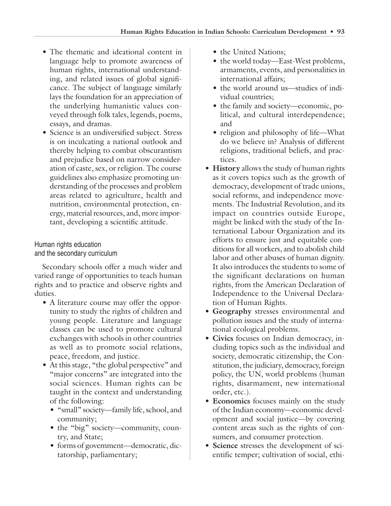- The thematic and ideational content in language help to promote awareness of human rights, international understanding, and related issues of global significance. The subject of language similarly lays the foundation for an appreciation of the underlying humanistic values conveyed through folk tales, legends, poems, essays, and dramas.
- Science is an undiversified subject. Stress is on inculcating a national outlook and thereby helping to combat obscurantism and prejudice based on narrow consideration of caste, sex, or religion. The course guidelines also emphasize promoting understanding of the processes and problem areas related to agriculture, health and nutrition, environmental protection, energy, material resources, and, more important, developing a scientific attitude.

Human rights education and the secondary curriculum

Secondary schools offer a much wider and varied range of opportunities to teach human rights and to practice and observe rights and duties.

- A literature course may offer the opportunity to study the rights of children and young people. Literature and language classes can be used to promote cultural exchanges with schools in other countries as well as to promote social relations, peace, freedom, and justice.
- At this stage, "the global perspective" and "major concerns" are integrated into the social sciences. Human rights can be taught in the context and understanding of the following:
	- "small" society—family life, school, and community;
	- the "big" society—community, country, and State;
	- forms of government—democratic, dictatorship, parliamentary;
- the United Nations;
- the world today—East-West problems, armaments, events, and personalities in international affairs;
- the world around us—studies of individual countries;
- the family and society—economic, political, and cultural interdependence; and
- religion and philosophy of life—What do we believe in? Analysis of different religions, traditional beliefs, and practices.
- **History** allows the study of human rights as it covers topics such as the growth of democracy, development of trade unions, social reforms, and independence movements. The Industrial Revolution, and its impact on countries outside Europe, might be linked with the study of the International Labour Organization and its efforts to ensure just and equitable conditions for all workers, and to abolish child labor and other abuses of human dignity. It also introduces the students to some of the significant declarations on human rights, from the American Declaration of Independence to the Universal Declaration of Human Rights.
- **Geography** stresses environmental and pollution issues and the study of international ecological problems.
- **Civics** focuses on Indian democracy, including topics such as the individual and society, democratic citizenship, the Constitution, the judiciary, democracy, foreign policy, the UN, world problems (human rights, disarmament, new international order, etc.).
- **Economics** focuses mainly on the study of the Indian economy—economic development and social justice—by covering content areas such as the rights of consumers, and consumer protection.
- **Science** stresses the development of scientific temper; cultivation of social, ethi-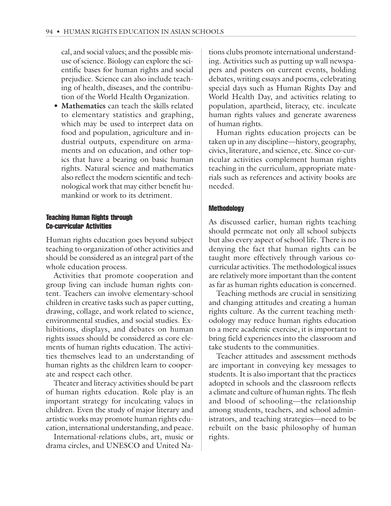cal, and social values; and the possible misuse of science. Biology can explore the scientific bases for human rights and social prejudice. Science can also include teaching of health, diseases, and the contribution of the World Health Organization.

• **Mathematics** can teach the skills related to elementary statistics and graphing, which may be used to interpret data on food and population, agriculture and industrial outputs, expenditure on armaments and on education, and other topics that have a bearing on basic human rights. Natural science and mathematics also reflect the modern scientific and technological work that may either benefit humankind or work to its detriment.

#### Teaching Human Rights through Co-curricular Activities

Human rights education goes beyond subject teaching to organization of other activities and should be considered as an integral part of the whole education process.

Activities that promote cooperation and group living can include human rights content. Teachers can involve elementary-school children in creative tasks such as paper cutting, drawing, collage, and work related to science, environmental studies, and social studies. Exhibitions, displays, and debates on human rights issues should be considered as core elements of human rights education. The activities themselves lead to an understanding of human rights as the children learn to cooperate and respect each other.

Theater and literacy activities should be part of human rights education. Role play is an important strategy for inculcating values in children. Even the study of major literary and artistic works may promote human rights education, international understanding, and peace.

International-relations clubs, art, music or drama circles, and UNESCO and United Nations clubs promote international understanding. Activities such as putting up wall newspapers and posters on current events, holding debates, writing essays and poems, celebrating special days such as Human Rights Day and World Health Day, and activities relating to population, apartheid, literacy, etc. inculcate human rights values and generate awareness of human rights.

Human rights education projects can be taken up in any discipline—history, geography, civics, literature, and science, etc. Since co-curricular activities complement human rights teaching in the curriculum, appropriate materials such as references and activity books are needed.

#### **Methodology**

As discussed earlier, human rights teaching should permeate not only all school subjects but also every aspect of school life. There is no denying the fact that human rights can be taught more effectively through various cocurricular activities. The methodological issues are relatively more important than the content as far as human rights education is concerned.

Teaching methods are crucial in sensitizing and changing attitudes and creating a human rights culture. As the current teaching methodology may reduce human rights education to a mere academic exercise, it is important to bring field experiences into the classroom and take students to the communities.

Teacher attitudes and assessment methods are important in conveying key messages to students. It is also important that the practices adopted in schools and the classroom reflects a climate and culture of human rights. The flesh and blood of schooling—the relationship among students, teachers, and school administrators, and teaching strategies—need to be rebuilt on the basic philosophy of human rights.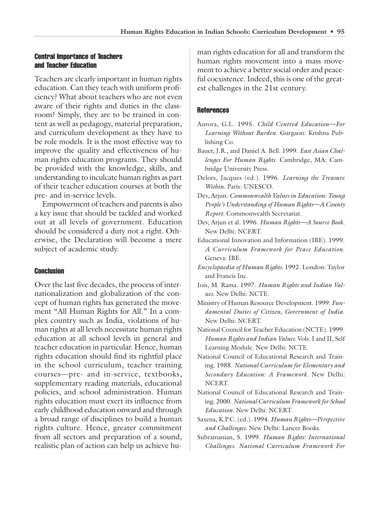#### Central Importance of Teachers and Teacher Education

Teachers are clearly important in human rights education. Can they teach with uniform proficiency? What about teachers who are not even aware of their rights and duties in the classroom? Simply, they are to be trained in content as well as pedagogy, material preparation, and curriculum development as they have to be role models. It is the most effective way to improve the quality and effectiveness of human rights education programs. They should be provided with the knowledge, skills, and understanding to inculcate human rights as part of their teacher education courses at both the pre- and in-service levels.

Empowerment of teachers and parents is also a key issue that should be tackled and worked out at all levels of government. Education should be considered a duty not a right. Otherwise, the Declaration will become a mere subject of academic study.

#### **Conclusion**

Over the last five decades, the process of internationalization and globalization of the concept of human rights has generated the movement "All Human Rights for All." In a complex country such as India, violations of human rights at all levels necessitate human rights education at all school levels in general and teacher education in particular. Hence, human rights education should find its rightful place in the school curriculum, teacher training courses—pre- and in-service, textbooks, supplementary reading materials, educational policies, and school administration. Human rights education must exert its influence from early childhood education onward and through a broad range of disciplines to build a human rights culture. Hence, greater commitment from all sectors and preparation of a sound, realistic plan of action can help us achieve human rights education for all and transform the human rights movement into a mass movement to achieve a better social order and peaceful coexistence. Indeed, this is one of the greatest challenges in the 21st century.

#### **References**

- Aurora, G.L. 1995. *Child Centred Education—For Learning Without Burden*. Gurgaon: Krishna Publishing Co.
- Bauer, J.R., and Daniel A. Bell. 1999. *East Asian Challenges For Human Rights*. Cambridge, MA: Cambridge University Press.
- Delors, Jacques (ed.). 1996. *Learning the Treasure Within*. Paris: UNESCO.
- Dev, Arjun. *Commonwealth Values in Education: Young People's Understanding of Human Rights—A County Report.* Commonwealth Secretariat.
- Dev, Arjun et al. 1996. *Human Rights—A Source Book.* New Delhi: NCERT.
- Educational Innovation and Information (IBE). 1999. *A Curriculum Framework for Peace Education*. Geneva: IBE.
- *Encyclopaedia of Human Rights.* 1992. London: Taylor and Francis Inc.
- Jois, M. Rama. 1997. *Human Rights and Indian Values.* New Delhi: NCTE.
- Ministry of Human Resource Development. 1999. *Fundamental Duties of Citizen, Government of India*. New Delhi: NCERT.
- National Council for Teacher Education (NCTE). 1999. *Human Rights and Indian Values.* Vols. I and II, Self Learning Module. New Delhi: NCTE.
- National Council of Educational Research and Training. 1988. *National Curriculum for Elementary and Secondary Education: A Framework.* New Delhi: NCERT.
- National Council of Educational Research and Training. 2000. *National Curriculum Framework for School Education.* New Delhi: NCERT.
- Saxena, K.P.C. (ed.). 1994. *Human Rights—Perspective and Challenges*. New Delhi: Lancer Books.
- Subramanian, S. 1999. *Human Rights: International Challenges. National Curriculum Framework For*